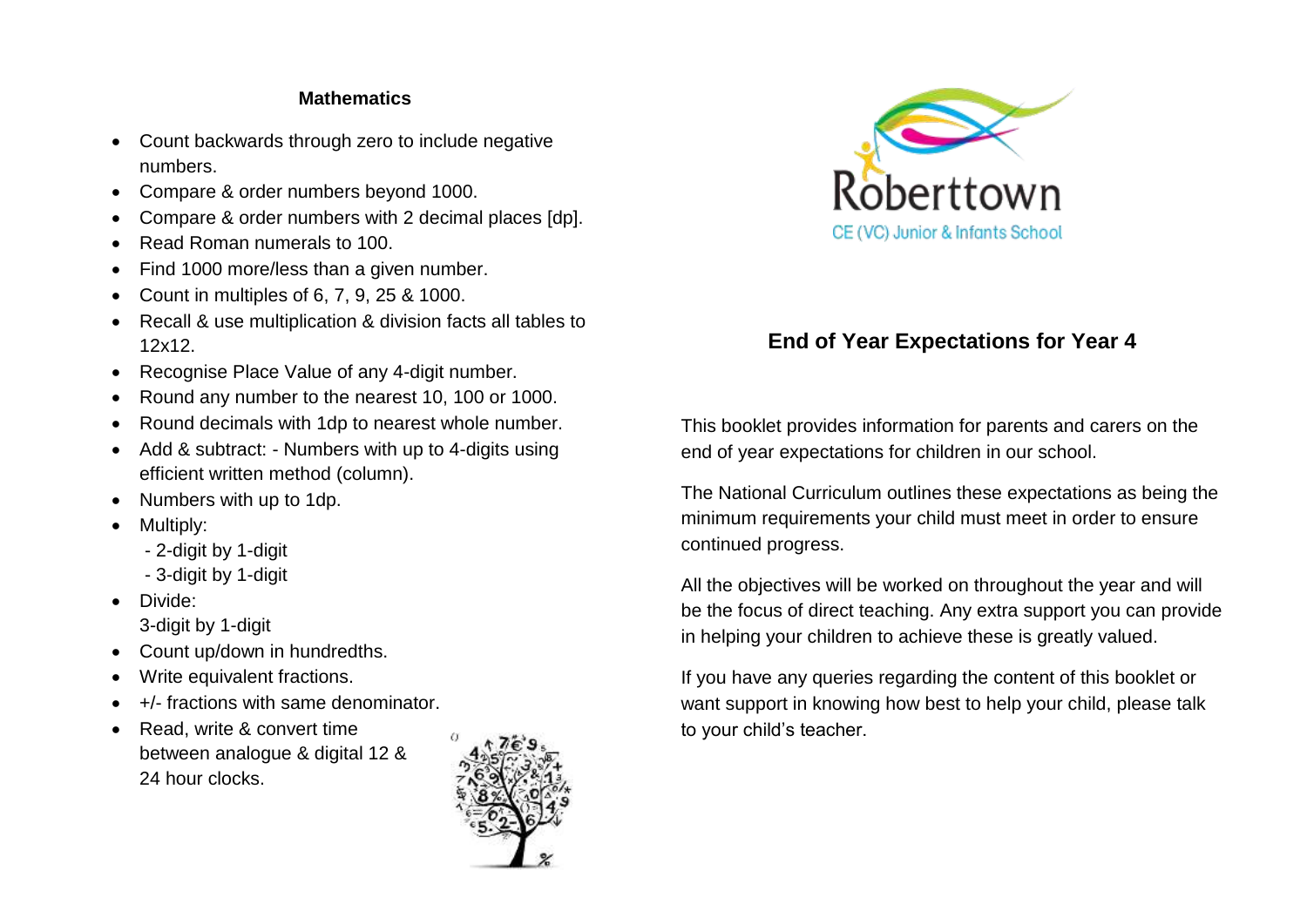## **Mathematics**

- Count backwards through zero to include negative numbers.
- Compare & order numbers beyond 1000.
- Compare & order numbers with 2 decimal places [dp].
- Read Roman numerals to 100.
- Find 1000 more/less than a given number.
- Count in multiples of 6, 7, 9, 25 & 1000.
- Recall & use multiplication & division facts all tables to 12x12.
- Recognise Place Value of any 4-digit number.
- Round any number to the nearest 10, 100 or 1000.
- Round decimals with 1dp to nearest whole number.
- Add & subtract: Numbers with up to 4-digits using efficient written method (column).
- Numbers with up to 1dp.
- Multiply:
	- 2-digit by 1-digit
	- 3-digit by 1-digit
- Divide: 3-digit by 1-digit
- Count up/down in hundredths.
- Write equivalent fractions.
- +/- fractions with same denominator.
- Read, write & convert time between analogue & digital 12 & 24 hour clocks.





## **End of Year Expectations for Year 4**

This booklet provides information for parents and carers on the end of year expectations for children in our school.

The National Curriculum outlines these expectations as being the minimum requirements your child must meet in order to ensure continued progress.

All the objectives will be worked on throughout the year and will be the focus of direct teaching. Any extra support you can provide in helping your children to achieve these is greatly valued.

If you have any queries regarding the content of this booklet or want support in knowing how best to help your child, please talk to your child's teacher.